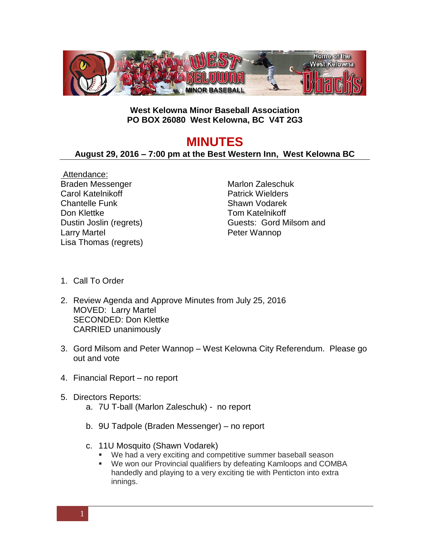

## **West Kelowna Minor Baseball Association PO BOX 26080 West Kelowna, BC V4T 2G3**

## **MINUTES**

## **August 29, 2016 – 7:00 pm at the Best Western Inn, West Kelowna BC**

Attendance: Braden Messenger Carol Katelnikoff Chantelle Funk Don Klettke Dustin Joslin (regrets) Larry Martel Lisa Thomas (regrets)

Marlon Zaleschuk Patrick Wielders Shawn Vodarek Tom Katelnikoff Guests: Gord Milsom and Peter Wannop

- 1. Call To Order
- 2. Review Agenda and Approve Minutes from July 25, 2016 MOVED: Larry Martel SECONDED: Don Klettke CARRIED unanimously
- 3. Gord Milsom and Peter Wannop West Kelowna City Referendum. Please go out and vote
- 4. Financial Report no report
- 5. Directors Reports:
	- a. 7U T-ball (Marlon Zaleschuk) no report
	- b. 9U Tadpole (Braden Messenger) no report
	- c. 11U Mosquito (Shawn Vodarek)
		- We had a very exciting and competitive summer baseball season
		- We won our Provincial qualifiers by defeating Kamloops and COMBA handedly and playing to a very exciting tie with Penticton into extra innings.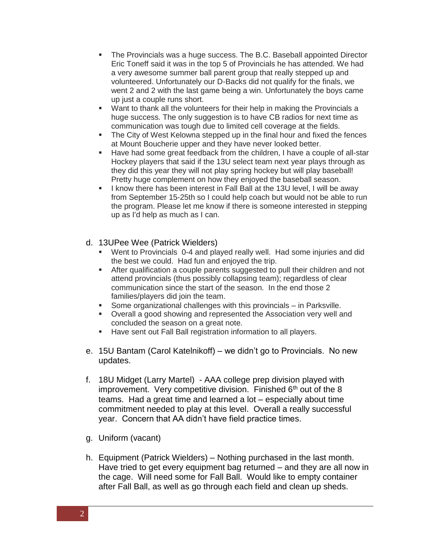- The Provincials was a huge success. The B.C. Baseball appointed Director Eric Toneff said it was in the top 5 of Provincials he has attended. We had a very awesome summer ball parent group that really stepped up and volunteered. Unfortunately our D-Backs did not qualify for the finals, we went 2 and 2 with the last game being a win. Unfortunately the boys came up just a couple runs short.
- **Want to thank all the volunteers for their help in making the Provincials a** huge success. The only suggestion is to have CB radios for next time as communication was tough due to limited cell coverage at the fields.
- The City of West Kelowna stepped up in the final hour and fixed the fences at Mount Boucherie upper and they have never looked better.
- Have had some great feedback from the children, I have a couple of all-star Hockey players that said if the 13U select team next year plays through as they did this year they will not play spring hockey but will play baseball! Pretty huge complement on how they enjoyed the baseball season.
- I know there has been interest in Fall Ball at the 13U level, I will be away from September 15-25th so I could help coach but would not be able to run the program. Please let me know if there is someone interested in stepping up as I'd help as much as I can.

## d. 13UPee Wee (Patrick Wielders)

- Went to Provincials 0-4 and played really well. Had some injuries and did the best we could. Had fun and enjoyed the trip.
- After qualification a couple parents suggested to pull their children and not attend provincials (thus possibly collapsing team); regardless of clear communication since the start of the season. In the end those 2 families/players did join the team.
- Some organizational challenges with this provincials in Parksville.
- Overall a good showing and represented the Association very well and concluded the season on a great note.
- **Have sent out Fall Ball registration information to all players.**
- e. 15U Bantam (Carol Katelnikoff) we didn't go to Provincials. No new updates.
- f. 18U Midget (Larry Martel) AAA college prep division played with improvement. Very competitive division. Finished 6<sup>th</sup> out of the 8 teams. Had a great time and learned a lot – especially about time commitment needed to play at this level. Overall a really successful year. Concern that AA didn't have field practice times.
- g. Uniform (vacant)
- h. Equipment (Patrick Wielders) Nothing purchased in the last month. Have tried to get every equipment bag returned – and they are all now in the cage. Will need some for Fall Ball. Would like to empty container after Fall Ball, as well as go through each field and clean up sheds.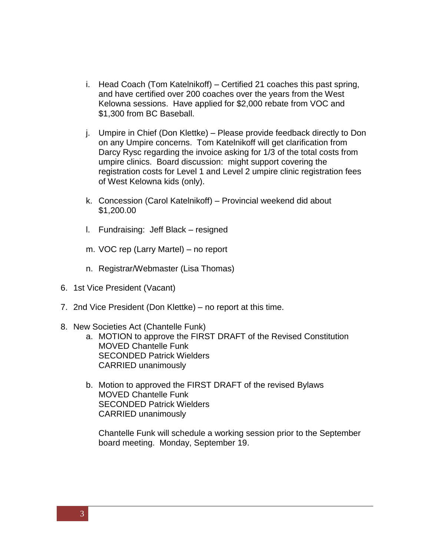- i. Head Coach (Tom Katelnikoff) Certified 21 coaches this past spring, and have certified over 200 coaches over the years from the West Kelowna sessions. Have applied for \$2,000 rebate from VOC and \$1,300 from BC Baseball.
- j. Umpire in Chief (Don Klettke) Please provide feedback directly to Don on any Umpire concerns. Tom Katelnikoff will get clarification from Darcy Rysc regarding the invoice asking for 1/3 of the total costs from umpire clinics. Board discussion: might support covering the registration costs for Level 1 and Level 2 umpire clinic registration fees of West Kelowna kids (only).
- k. Concession (Carol Katelnikoff) Provincial weekend did about \$1,200.00
- l. Fundraising: Jeff Black resigned
- m. VOC rep (Larry Martel) no report
- n. Registrar/Webmaster (Lisa Thomas)
- 6. 1st Vice President (Vacant)
- 7. 2nd Vice President (Don Klettke) no report at this time.
- 8. New Societies Act (Chantelle Funk)
	- a. MOTION to approve the FIRST DRAFT of the Revised Constitution MOVED Chantelle Funk SECONDED Patrick Wielders CARRIED unanimously
	- b. Motion to approved the FIRST DRAFT of the revised Bylaws MOVED Chantelle Funk SECONDED Patrick Wielders CARRIED unanimously

Chantelle Funk will schedule a working session prior to the September board meeting. Monday, September 19.